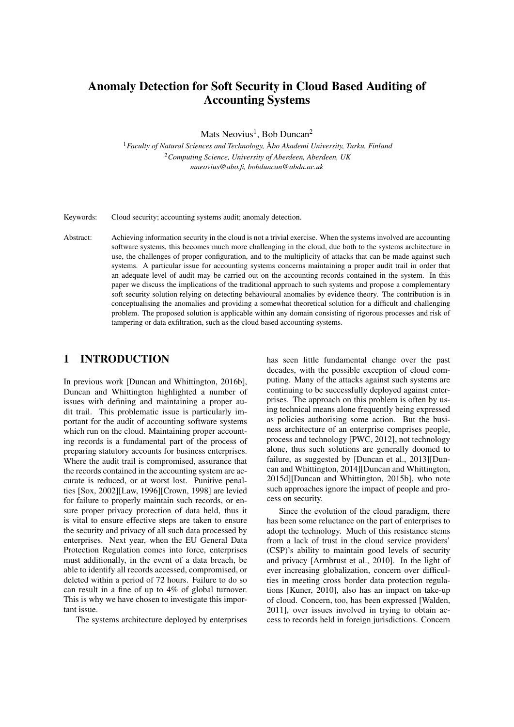# Anomaly Detection for Soft Security in Cloud Based Auditing of Accounting Systems

Mats Neovius<sup>1</sup>, Bob Duncan<sup>2</sup>

<sup>1</sup> Faculty of Natural Sciences and Technology, Åbo Akademi University, Turku, Finland <sup>2</sup>*Computing Science, University of Aberdeen, Aberdeen, UK mneovius@abo.fi, bobduncan@abdn.ac.uk*

Keywords: Cloud security; accounting systems audit; anomaly detection.

Abstract: Achieving information security in the cloud is not a trivial exercise. When the systems involved are accounting software systems, this becomes much more challenging in the cloud, due both to the systems architecture in use, the challenges of proper configuration, and to the multiplicity of attacks that can be made against such systems. A particular issue for accounting systems concerns maintaining a proper audit trail in order that an adequate level of audit may be carried out on the accounting records contained in the system. In this paper we discuss the implications of the traditional approach to such systems and propose a complementary soft security solution relying on detecting behavioural anomalies by evidence theory. The contribution is in conceptualising the anomalies and providing a somewhat theoretical solution for a difficult and challenging problem. The proposed solution is applicable within any domain consisting of rigorous processes and risk of tampering or data exfiltration, such as the cloud based accounting systems.

## 1 INTRODUCTION

In previous work [Duncan and Whittington, 2016b], Duncan and Whittington highlighted a number of issues with defining and maintaining a proper audit trail. This problematic issue is particularly important for the audit of accounting software systems which run on the cloud. Maintaining proper accounting records is a fundamental part of the process of preparing statutory accounts for business enterprises. Where the audit trail is compromised, assurance that the records contained in the accounting system are accurate is reduced, or at worst lost. Punitive penalties [Sox, 2002][Law, 1996][Crown, 1998] are levied for failure to properly maintain such records, or ensure proper privacy protection of data held, thus it is vital to ensure effective steps are taken to ensure the security and privacy of all such data processed by enterprises. Next year, when the EU General Data Protection Regulation comes into force, enterprises must additionally, in the event of a data breach, be able to identify all records accessed, compromised, or deleted within a period of 72 hours. Failure to do so can result in a fine of up to 4% of global turnover. This is why we have chosen to investigate this important issue.

The systems architecture deployed by enterprises

has seen little fundamental change over the past decades, with the possible exception of cloud computing. Many of the attacks against such systems are continuing to be successfully deployed against enterprises. The approach on this problem is often by using technical means alone frequently being expressed as policies authorising some action. But the business architecture of an enterprise comprises people, process and technology [PWC, 2012], not technology alone, thus such solutions are generally doomed to failure, as suggested by [Duncan et al., 2013][Duncan and Whittington, 2014][Duncan and Whittington, 2015d][Duncan and Whittington, 2015b], who note such approaches ignore the impact of people and process on security.

Since the evolution of the cloud paradigm, there has been some reluctance on the part of enterprises to adopt the technology. Much of this resistance stems from a lack of trust in the cloud service providers' (CSP)'s ability to maintain good levels of security and privacy [Armbrust et al., 2010]. In the light of ever increasing globalization, concern over difficulties in meeting cross border data protection regulations [Kuner, 2010], also has an impact on take-up of cloud. Concern, too, has been expressed [Walden, 2011], over issues involved in trying to obtain access to records held in foreign jurisdictions. Concern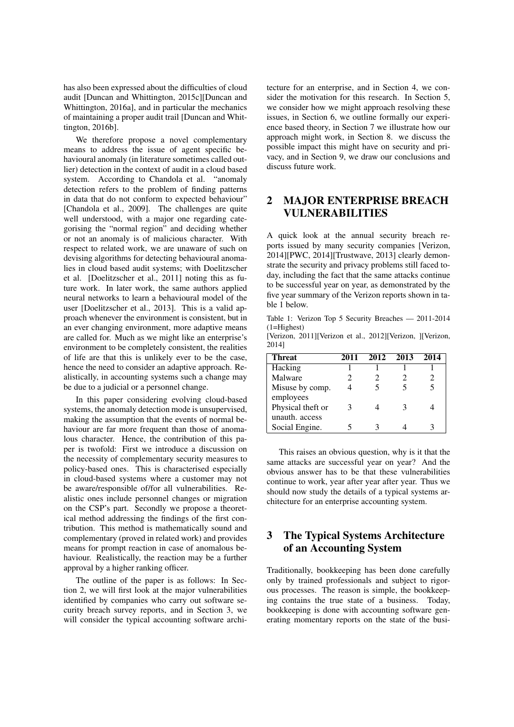has also been expressed about the difficulties of cloud audit [Duncan and Whittington, 2015c][Duncan and Whittington, 2016a], and in particular the mechanics of maintaining a proper audit trail [Duncan and Whittington, 2016b].

We therefore propose a novel complementary means to address the issue of agent specific behavioural anomaly (in literature sometimes called outlier) detection in the context of audit in a cloud based system. According to Chandola et al. "anomaly detection refers to the problem of finding patterns in data that do not conform to expected behaviour" [Chandola et al., 2009]. The challenges are quite well understood, with a major one regarding categorising the "normal region" and deciding whether or not an anomaly is of malicious character. With respect to related work, we are unaware of such on devising algorithms for detecting behavioural anomalies in cloud based audit systems; with Doelitzscher et al. [Doelitzscher et al., 2011] noting this as future work. In later work, the same authors applied neural networks to learn a behavioural model of the user [Doelitzscher et al., 2013]. This is a valid approach whenever the environment is consistent, but in an ever changing environment, more adaptive means are called for. Much as we might like an enterprise's environment to be completely consistent, the realities of life are that this is unlikely ever to be the case, hence the need to consider an adaptive approach. Realistically, in accounting systems such a change may be due to a judicial or a personnel change.

In this paper considering evolving cloud-based systems, the anomaly detection mode is unsupervised, making the assumption that the events of normal behaviour are far more frequent than those of anomalous character. Hence, the contribution of this paper is twofold: First we introduce a discussion on the necessity of complementary security measures to policy-based ones. This is characterised especially in cloud-based systems where a customer may not be aware/responsible of/for all vulnerabilities. Realistic ones include personnel changes or migration on the CSP's part. Secondly we propose a theoretical method addressing the findings of the first contribution. This method is mathematically sound and complementary (proved in related work) and provides means for prompt reaction in case of anomalous behaviour. Realistically, the reaction may be a further approval by a higher ranking officer.

The outline of the paper is as follows: In Section 2, we will first look at the major vulnerabilities identified by companies who carry out software security breach survey reports, and in Section 3, we will consider the typical accounting software architecture for an enterprise, and in Section 4, we consider the motivation for this research. In Section 5, we consider how we might approach resolving these issues, in Section 6, we outline formally our experience based theory, in Section 7 we illustrate how our approach might work, in Section 8. we discuss the possible impact this might have on security and privacy, and in Section 9, we draw our conclusions and discuss future work.

# 2 MAJOR ENTERPRISE BREACH VULNERABILITIES

A quick look at the annual security breach reports issued by many security companies [Verizon, 2014][PWC, 2014][Trustwave, 2013] clearly demonstrate the security and privacy problems still faced today, including the fact that the same attacks continue to be successful year on year, as demonstrated by the five year summary of the Verizon reports shown in table 1 below.

Table 1: Verizon Top 5 Security Breaches — 2011-2014 (1=Highest)

[Verizon, 2011][Verizon et al., 2012][Verizon, ][Verizon, 2014]

| <b>Threat</b>     | 2011 | 2012 | 2013 | 2014                        |
|-------------------|------|------|------|-----------------------------|
| Hacking           |      |      |      |                             |
| Malware           | 2    |      |      | $\mathcal{D}_{\mathcal{A}}$ |
| Misuse by comp.   | 4    |      |      |                             |
| employees         |      |      |      |                             |
| Physical theft or |      |      |      |                             |
| unauth. access    |      |      |      |                             |
| Social Engine.    |      |      |      |                             |

This raises an obvious question, why is it that the same attacks are successful year on year? And the obvious answer has to be that these vulnerabilities continue to work, year after year after year. Thus we should now study the details of a typical systems architecture for an enterprise accounting system.

# 3 The Typical Systems Architecture of an Accounting System

Traditionally, bookkeeping has been done carefully only by trained professionals and subject to rigorous processes. The reason is simple, the bookkeeping contains the true state of a business. Today, bookkeeping is done with accounting software generating momentary reports on the state of the busi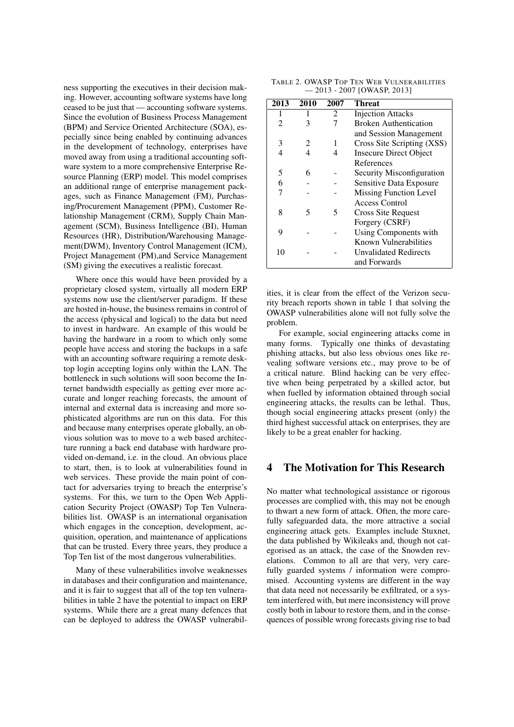ness supporting the executives in their decision making. However, accounting software systems have long ceased to be just that — accounting software systems. Since the evolution of Business Process Management (BPM) and Service Oriented Architecture (SOA), especially since being enabled by continuing advances in the development of technology, enterprises have moved away from using a traditional accounting software system to a more comprehensive Enterprise Resource Planning (ERP) model. This model comprises an additional range of enterprise management packages, such as Finance Management (FM), Purchasing/Procurement Management (PPM), Customer Relationship Management (CRM), Supply Chain Management (SCM), Business Intelligence (BI), Human Resources (HR), Distribution/Warehousing Management(DWM), Inventory Control Management (ICM), Project Management (PM),and Service Management (SM) giving the executives a realistic forecast.

Where once this would have been provided by a proprietary closed system, virtually all modern ERP systems now use the client/server paradigm. If these are hosted in-house, the business remains in control of the access (physical and logical) to the data but need to invest in hardware. An example of this would be having the hardware in a room to which only some people have access and storing the backups in a safe with an accounting software requiring a remote desktop login accepting logins only within the LAN. The bottleneck in such solutions will soon become the Internet bandwidth especially as getting ever more accurate and longer reaching forecasts, the amount of internal and external data is increasing and more sophisticated algorithms are run on this data. For this and because many enterprises operate globally, an obvious solution was to move to a web based architecture running a back end database with hardware provided on-demand, i.e. in the cloud. An obvious place to start, then, is to look at vulnerabilities found in web services. These provide the main point of contact for adversaries trying to breach the enterprise's systems. For this, we turn to the Open Web Application Security Project (OWASP) Top Ten Vulnerabilities list. OWASP is an international organisation which engages in the conception, development, acquisition, operation, and maintenance of applications that can be trusted. Every three years, they produce a Top Ten list of the most dangerous vulnerabilities.

Many of these vulnerabilities involve weaknesses in databases and their configuration and maintenance, and it is fair to suggest that all of the top ten vulnerabilities in table 2 have the potential to impact on ERP systems. While there are a great many defences that can be deployed to address the OWASP vulnerabil-

| TABLE 2. OWASP TOP TEN WEB VULNERABILITIES |  |
|--------------------------------------------|--|
| $-2013 - 2007$ [OWASP, 2013]               |  |

| 2013           | 2010                        | 2007 | <b>Threat</b>                 |
|----------------|-----------------------------|------|-------------------------------|
| 1              |                             | 2    | <b>Injection Attacks</b>      |
| $\mathfrak{D}$ | 3                           |      | <b>Broken Authentication</b>  |
|                |                             |      | and Session Management        |
| 3              | $\mathcal{D}_{\mathcal{L}}$ | 1    | Cross Site Scripting (XSS)    |
| 4              | 4                           | 4    | <b>Insecure Direct Object</b> |
|                |                             |      | References                    |
| 5              | 6                           |      | Security Misconfiguration     |
| 6              |                             |      | Sensitive Data Exposure       |
|                |                             |      | <b>Missing Function Level</b> |
|                |                             |      | Access Control                |
| 8              | 5                           | 5    | Cross Site Request            |
|                |                             |      | Forgery (CSRF)                |
| 9              |                             |      | Using Components with         |
|                |                             |      | Known Vulnerabilities         |
| 10             |                             |      | Unvalidated Redirects         |
|                |                             |      | and Forwards                  |

ities, it is clear from the effect of the Verizon security breach reports shown in table 1 that solving the OWASP vulnerabilities alone will not fully solve the problem.

For example, social engineering attacks come in many forms. Typically one thinks of devastating phishing attacks, but also less obvious ones like revealing software versions etc., may prove to be of a critical nature. Blind hacking can be very effective when being perpetrated by a skilled actor, but when fuelled by information obtained through social engineering attacks, the results can be lethal. Thus, though social engineering attacks present (only) the third highest successful attack on enterprises, they are likely to be a great enabler for hacking.

#### 4 The Motivation for This Research

No matter what technological assistance or rigorous processes are complied with, this may not be enough to thwart a new form of attack. Often, the more carefully safeguarded data, the more attractive a social engineering attack gets. Examples include Stuxnet, the data published by Wikileaks and, though not categorised as an attack, the case of the Snowden revelations. Common to all are that very, very carefully guarded systems / information were compromised. Accounting systems are different in the way that data need not necessarily be exfiltrated, or a system interfered with, but mere inconsistency will prove costly both in labour to restore them, and in the consequences of possible wrong forecasts giving rise to bad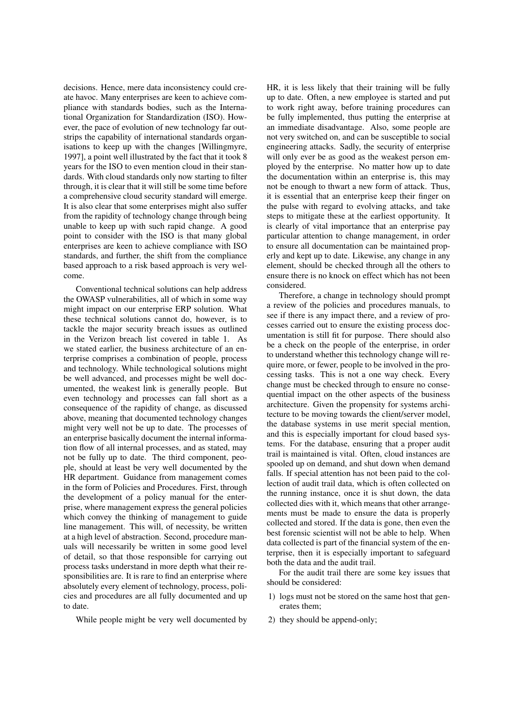decisions. Hence, mere data inconsistency could create havoc. Many enterprises are keen to achieve compliance with standards bodies, such as the International Organization for Standardization (ISO). However, the pace of evolution of new technology far outstrips the capability of international standards organisations to keep up with the changes [Willingmyre, 1997], a point well illustrated by the fact that it took 8 years for the ISO to even mention cloud in their standards. With cloud standards only now starting to filter through, it is clear that it will still be some time before a comprehensive cloud security standard will emerge. It is also clear that some enterprises might also suffer from the rapidity of technology change through being unable to keep up with such rapid change. A good point to consider with the ISO is that many global enterprises are keen to achieve compliance with ISO standards, and further, the shift from the compliance based approach to a risk based approach is very welcome.

Conventional technical solutions can help address the OWASP vulnerabilities, all of which in some way might impact on our enterprise ERP solution. What these technical solutions cannot do, however, is to tackle the major security breach issues as outlined in the Verizon breach list covered in table 1. As we stated earlier, the business architecture of an enterprise comprises a combination of people, process and technology. While technological solutions might be well advanced, and processes might be well documented, the weakest link is generally people. But even technology and processes can fall short as a consequence of the rapidity of change, as discussed above, meaning that documented technology changes might very well not be up to date. The processes of an enterprise basically document the internal information flow of all internal processes, and as stated, may not be fully up to date. The third component, people, should at least be very well documented by the HR department. Guidance from management comes in the form of Policies and Procedures. First, through the development of a policy manual for the enterprise, where management express the general policies which convey the thinking of management to guide line management. This will, of necessity, be written at a high level of abstraction. Second, procedure manuals will necessarily be written in some good level of detail, so that those responsible for carrying out process tasks understand in more depth what their responsibilities are. It is rare to find an enterprise where absolutely every element of technology, process, policies and procedures are all fully documented and up to date.

While people might be very well documented by

HR, it is less likely that their training will be fully up to date. Often, a new employee is started and put to work right away, before training procedures can be fully implemented, thus putting the enterprise at an immediate disadvantage. Also, some people are not very switched on, and can be susceptible to social engineering attacks. Sadly, the security of enterprise will only ever be as good as the weakest person employed by the enterprise. No matter how up to date the documentation within an enterprise is, this may not be enough to thwart a new form of attack. Thus, it is essential that an enterprise keep their finger on the pulse with regard to evolving attacks, and take steps to mitigate these at the earliest opportunity. It is clearly of vital importance that an enterprise pay particular attention to change management, in order to ensure all documentation can be maintained properly and kept up to date. Likewise, any change in any element, should be checked through all the others to ensure there is no knock on effect which has not been considered.

Therefore, a change in technology should prompt a review of the policies and procedures manuals, to see if there is any impact there, and a review of processes carried out to ensure the existing process documentation is still fit for purpose. There should also be a check on the people of the enterprise, in order to understand whether this technology change will require more, or fewer, people to be involved in the processing tasks. This is not a one way check. Every change must be checked through to ensure no consequential impact on the other aspects of the business architecture. Given the propensity for systems architecture to be moving towards the client/server model, the database systems in use merit special mention, and this is especially important for cloud based systems. For the database, ensuring that a proper audit trail is maintained is vital. Often, cloud instances are spooled up on demand, and shut down when demand falls. If special attention has not been paid to the collection of audit trail data, which is often collected on the running instance, once it is shut down, the data collected dies with it, which means that other arrangements must be made to ensure the data is properly collected and stored. If the data is gone, then even the best forensic scientist will not be able to help. When data collected is part of the financial system of the enterprise, then it is especially important to safeguard both the data and the audit trail.

For the audit trail there are some key issues that should be considered:

- 1) logs must not be stored on the same host that generates them;
- 2) they should be append-only;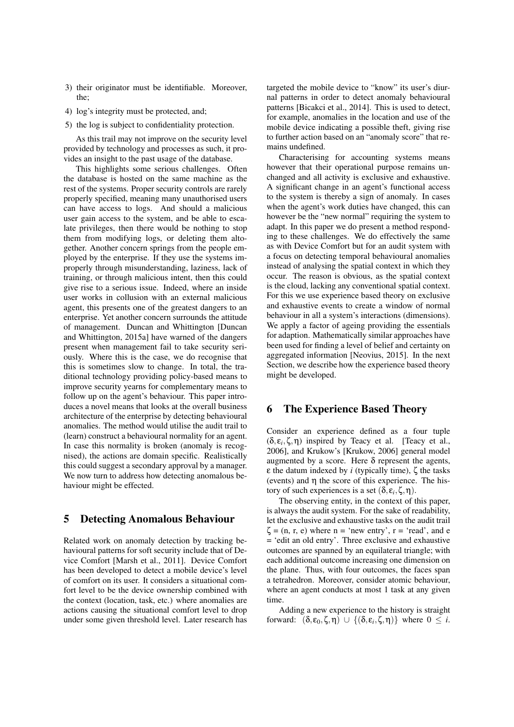- 3) their originator must be identifiable. Moreover, the;
- 4) log's integrity must be protected, and;
- 5) the log is subject to confidentiality protection.

As this trail may not improve on the security level provided by technology and processes as such, it provides an insight to the past usage of the database.

This highlights some serious challenges. Often the database is hosted on the same machine as the rest of the systems. Proper security controls are rarely properly specified, meaning many unauthorised users can have access to logs. And should a malicious user gain access to the system, and be able to escalate privileges, then there would be nothing to stop them from modifying logs, or deleting them altogether. Another concern springs from the people employed by the enterprise. If they use the systems improperly through misunderstanding, laziness, lack of training, or through malicious intent, then this could give rise to a serious issue. Indeed, where an inside user works in collusion with an external malicious agent, this presents one of the greatest dangers to an enterprise. Yet another concern surrounds the attitude of management. Duncan and Whittington [Duncan and Whittington, 2015a] have warned of the dangers present when management fail to take security seriously. Where this is the case, we do recognise that this is sometimes slow to change. In total, the traditional technology providing policy-based means to improve security yearns for complementary means to follow up on the agent's behaviour. This paper introduces a novel means that looks at the overall business architecture of the enterprise by detecting behavioural anomalies. The method would utilise the audit trail to (learn) construct a behavioural normality for an agent. In case this normality is broken (anomaly is recognised), the actions are domain specific. Realistically this could suggest a secondary approval by a manager. We now turn to address how detecting anomalous behaviour might be effected.

#### 5 Detecting Anomalous Behaviour

Related work on anomaly detection by tracking behavioural patterns for soft security include that of Device Comfort [Marsh et al., 2011]. Device Comfort has been developed to detect a mobile device's level of comfort on its user. It considers a situational comfort level to be the device ownership combined with the context (location, task, etc.) where anomalies are actions causing the situational comfort level to drop under some given threshold level. Later research has

targeted the mobile device to "know" its user's diurnal patterns in order to detect anomaly behavioural patterns [Bicakci et al., 2014]. This is used to detect, for example, anomalies in the location and use of the mobile device indicating a possible theft, giving rise to further action based on an "anomaly score" that remains undefined.

Characterising for accounting systems means however that their operational purpose remains unchanged and all activity is exclusive and exhaustive. A significant change in an agent's functional access to the system is thereby a sign of anomaly. In cases when the agent's work duties have changed, this can however be the "new normal" requiring the system to adapt. In this paper we do present a method responding to these challenges. We do effectively the same as with Device Comfort but for an audit system with a focus on detecting temporal behavioural anomalies instead of analysing the spatial context in which they occur. The reason is obvious, as the spatial context is the cloud, lacking any conventional spatial context. For this we use experience based theory on exclusive and exhaustive events to create a window of normal behaviour in all a system's interactions (dimensions). We apply a factor of ageing providing the essentials for adaption. Mathematically similar approaches have been used for finding a level of belief and certainty on aggregated information [Neovius, 2015]. In the next Section, we describe how the experience based theory might be developed.

#### 6 The Experience Based Theory

Consider an experience defined as a four tuple  $(\delta, \varepsilon_i, \zeta, \eta)$  inspired by Teacy et al. [Teacy et al., 2006], and Krukow's [Krukow, 2006] general model augmented by a score. Here  $\delta$  represent the agents, ε the datum indexed by *i* (typically time), ζ the tasks (events) and η the score of this experience. The history of such experiences is a set  $(δ, ε<sub>i</sub>, ζ, η)$ .

The observing entity, in the context of this paper, is always the audit system. For the sake of readability, let the exclusive and exhaustive tasks on the audit trail  $\zeta$  = (n, r, e) where n = 'new entry', r = 'read', and e = 'edit an old entry'. Three exclusive and exhaustive outcomes are spanned by an equilateral triangle; with each additional outcome increasing one dimension on the plane. Thus, with four outcomes, the faces span a tetrahedron. Moreover, consider atomic behaviour, where an agent conducts at most 1 task at any given time.

Adding a new experience to the history is straight forward:  $(\delta, \varepsilon_0, \zeta, \eta) \cup \{(\delta, \varepsilon_i, \zeta, \eta)\}$  where  $0 \leq i$ .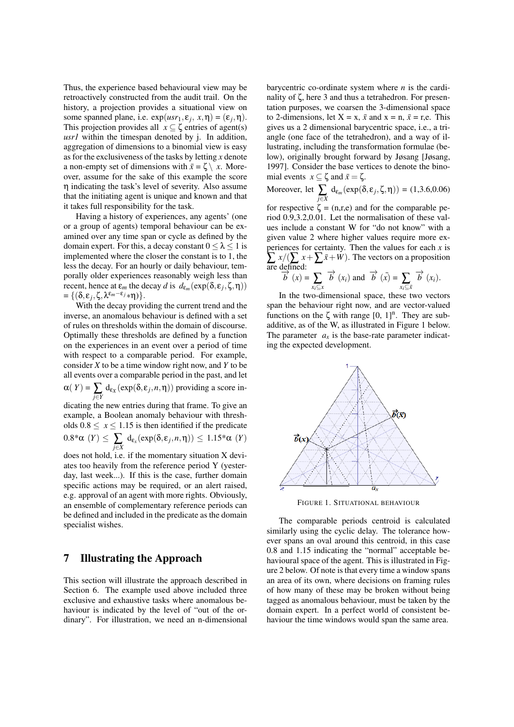Thus, the experience based behavioural view may be retroactively constructed from the audit trail. On the history, a projection provides a situational view on some spanned plane, i.e.  $exp(usr_1, \varepsilon_j, x, \eta) = (\varepsilon_j, \eta)$ . This projection provides all  $x \subseteq \zeta$  entries of agent(s) *usr1* within the timespan denoted by j. In addition, aggregation of dimensions to a binomial view is easy as for the exclusiveness of the tasks by letting *x* denote a non-empty set of dimensions with  $\bar{x} = \zeta \setminus x$ . Moreover, assume for the sake of this example the score η indicating the task's level of severity. Also assume that the initiating agent is unique and known and that it takes full responsibility for the task.

Having a history of experiences, any agents' (one or a group of agents) temporal behaviour can be examined over any time span or cycle as defined by the domain expert. For this, a decay constant  $0 \leq \lambda \leq 1$  is implemented where the closer the constant is to 1, the less the decay. For an hourly or daily behaviour, temporally older experiences reasonably weigh less than recent, hence at  $\varepsilon_m$  the decay *d* is  $d_{\varepsilon_m}(\exp(\delta, \varepsilon_j, \zeta, \eta))$  $= \{(\delta, \varepsilon_j, \zeta, \lambda^{\varepsilon_m-\varepsilon_j}*\eta)\}.$ 

With the decay providing the current trend and the inverse, an anomalous behaviour is defined with a set of rules on thresholds within the domain of discourse. Optimally these thresholds are defined by a function on the experiences in an event over a period of time with respect to a comparable period. For example, consider *X* to be a time window right now, and *Y* to be all events over a comparable period in the past, and let  $\alpha(Y) = \sum_{j \in Y} d_{e_X}(\exp(\delta, \varepsilon_j, n, \eta))$  providing a score in-

dicating the new entries during that frame. To give an example, a Boolean anomaly behaviour with thresholds  $0.8 \leq x \leq 1.15$  is then identified if the predicate  $0.8^*\alpha$   $(Y) \leq \sum_{j\in X} d_{\mathsf{e}_x}(\exp(\delta, \varepsilon_j, n, \eta)) \leq 1.15^*\alpha$   $(Y)$ 

does not hold, i.e. if the momentary situation X deviates too heavily from the reference period Y (yesterday, last week...). If this is the case, further domain specific actions may be required, or an alert raised, e.g. approval of an agent with more rights. Obviously, an ensemble of complementary reference periods can be defined and included in the predicate as the domain specialist wishes.

## 7 Illustrating the Approach

This section will illustrate the approach described in Section 6. The example used above included three exclusive and exhaustive tasks where anomalous behaviour is indicated by the level of "out of the ordinary". For illustration, we need an n-dimensional barycentric co-ordinate system where *n* is the cardinality of ζ, here 3 and thus a tetrahedron. For presentation purposes, we coarsen the 3-dimensional space to 2-dimensions, let  $X = x$ ,  $\bar{x}$  and  $x = n$ ,  $\bar{x} = r$ , e. This gives us a 2 dimensional barycentric space, i.e., a triangle (one face of the tetrahedron), and a way of illustrating, including the transformation formulae (below), originally brought forward by Jøsang [Jøsang, 1997]. Consider the base vertices to denote the binomial events  $x \subseteq \zeta$  and  $\bar{x} = \zeta$ .

Moreover, let 
$$
\sum_{j \in X} d_{\varepsilon_m}(\exp(\delta, \varepsilon_j, \zeta, \eta)) = (1, 3.6, 0.06)
$$

for respective  $\zeta = (n,r,e)$  and for the comparable period 0.9,3.2,0.01. Let the normalisation of these values include a constant W for "do not know" with a given value 2 where higher values require more experiences for certainty. Then the values for each  $x$  is  $\sum x/( \sum x + \sum \bar{x} + W)$ . The vectors on a proposition are defined:<br>  $\overrightarrow{b}(x) = \sum_{i=1}^{\infty} \overrightarrow{b}(x_i)$  and  $\overrightarrow{b}(x) = \sum_{i=1}^{\infty} \overrightarrow{b}(x_i)$ .

$$
\overrightarrow{b}(x) = \sum_{x_i \subseteq x} \overrightarrow{b}(x_i) \text{ and } \overrightarrow{b}(x) = \sum_{x_i \subseteq \overline{x}} \overrightarrow{b}(x_i).
$$

In the two-dimensional space, these two vectors span the behaviour right now, and are vector-valued functions on the  $\zeta$  with range  $[0, 1]$ <sup>n</sup>. They are subadditive, as of the W, as illustrated in Figure 1 below. The parameter  $a_x$  is the base-rate parameter indicating the expected development.



FIGURE 1. SITUATIONAL BEHAVIOUR

The comparable periods centroid is calculated similarly using the cyclic delay. The tolerance however spans an oval around this centroid, in this case 0.8 and 1.15 indicating the "normal" acceptable behavioural space of the agent. This is illustrated in Figure 2 below. Of note is that every time a window spans an area of its own, where decisions on framing rules of how many of these may be broken without being tagged as anomalous behaviour, must be taken by the domain expert. In a perfect world of consistent behaviour the time windows would span the same area.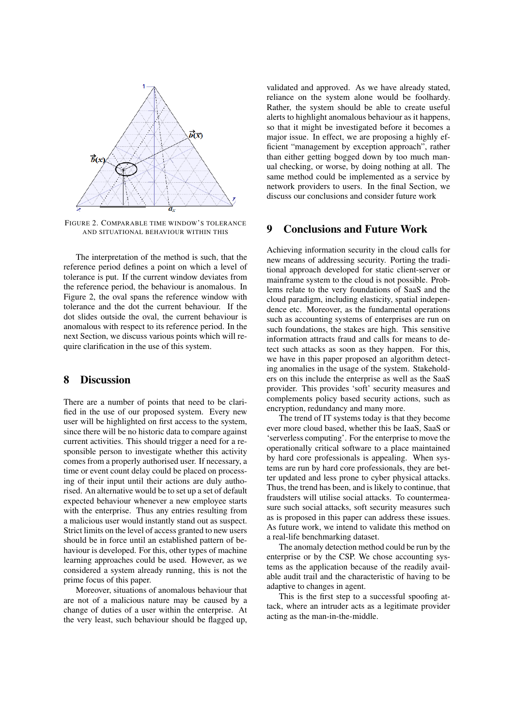

FIGURE 2. COMPARABLE TIME WINDOW'S TOLERANCE AND SITUATIONAL BEHAVIOUR WITHIN THIS

The interpretation of the method is such, that the reference period defines a point on which a level of tolerance is put. If the current window deviates from the reference period, the behaviour is anomalous. In Figure 2, the oval spans the reference window with tolerance and the dot the current behaviour. If the dot slides outside the oval, the current behaviour is anomalous with respect to its reference period. In the next Section, we discuss various points which will require clarification in the use of this system.

#### 8 Discussion

There are a number of points that need to be clarified in the use of our proposed system. Every new user will be highlighted on first access to the system, since there will be no historic data to compare against current activities. This should trigger a need for a responsible person to investigate whether this activity comes from a properly authorised user. If necessary, a time or event count delay could be placed on processing of their input until their actions are duly authorised. An alternative would be to set up a set of default expected behaviour whenever a new employee starts with the enterprise. Thus any entries resulting from a malicious user would instantly stand out as suspect. Strict limits on the level of access granted to new users should be in force until an established pattern of behaviour is developed. For this, other types of machine learning approaches could be used. However, as we considered a system already running, this is not the prime focus of this paper.

Moreover, situations of anomalous behaviour that are not of a malicious nature may be caused by a change of duties of a user within the enterprise. At the very least, such behaviour should be flagged up,

validated and approved. As we have already stated, reliance on the system alone would be foolhardy. Rather, the system should be able to create useful alerts to highlight anomalous behaviour as it happens, so that it might be investigated before it becomes a major issue. In effect, we are proposing a highly efficient "management by exception approach", rather than either getting bogged down by too much manual checking, or worse, by doing nothing at all. The same method could be implemented as a service by network providers to users. In the final Section, we discuss our conclusions and consider future work

#### 9 Conclusions and Future Work

Achieving information security in the cloud calls for new means of addressing security. Porting the traditional approach developed for static client-server or mainframe system to the cloud is not possible. Problems relate to the very foundations of SaaS and the cloud paradigm, including elasticity, spatial independence etc. Moreover, as the fundamental operations such as accounting systems of enterprises are run on such foundations, the stakes are high. This sensitive information attracts fraud and calls for means to detect such attacks as soon as they happen. For this, we have in this paper proposed an algorithm detecting anomalies in the usage of the system. Stakeholders on this include the enterprise as well as the SaaS provider. This provides 'soft' security measures and complements policy based security actions, such as encryption, redundancy and many more.

The trend of IT systems today is that they become ever more cloud based, whether this be IaaS, SaaS or 'serverless computing'. For the enterprise to move the operationally critical software to a place maintained by hard core professionals is appealing. When systems are run by hard core professionals, they are better updated and less prone to cyber physical attacks. Thus, the trend has been, and is likely to continue, that fraudsters will utilise social attacks. To countermeasure such social attacks, soft security measures such as is proposed in this paper can address these issues. As future work, we intend to validate this method on a real-life benchmarking dataset.

The anomaly detection method could be run by the enterprise or by the CSP. We chose accounting systems as the application because of the readily available audit trail and the characteristic of having to be adaptive to changes in agent.

This is the first step to a successful spoofing attack, where an intruder acts as a legitimate provider acting as the man-in-the-middle.